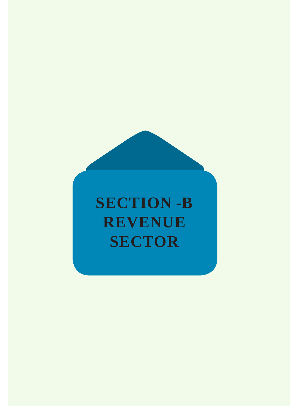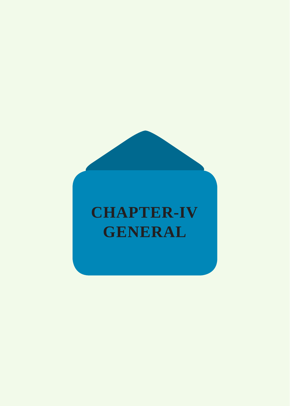# **CHAPTER-IV GENERAL**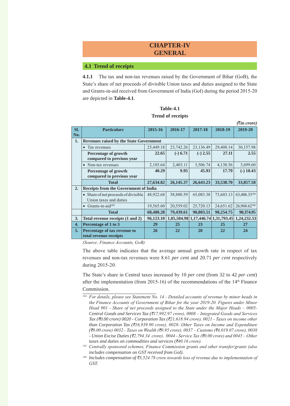# **CHAPTER-IV GENERAL**

## **4.1 Trend of receipts**

**4.1.1** The tax and non-tax revenues raised by the Government of Bihar (GoB), the State's share of net proceeds of divisible Union taxes and duties assigned to the State and Grants-in-aid received from Government of India (GoI) during the period 2015-20 are depicted in **Table-4.1**.

| <b>Table-4.1</b>         |  |
|--------------------------|--|
| <b>Trend of receipts</b> |  |

|     |                                                |           |            |            |                                     | (रैंin crore) |
|-----|------------------------------------------------|-----------|------------|------------|-------------------------------------|---------------|
| SI. | <b>Particulars</b>                             | 2015-16   | 2016-17    | 2017-18    | 2018-19                             | 2019-20       |
| No. |                                                |           |            |            |                                     |               |
| 1.  | <b>Revenues raised by the State Government</b> |           |            |            |                                     |               |
|     | Tax revenues<br>$\bullet$                      | 25,449.18 | 23,742.26  | 23,136.49  | 29,408.14                           | 30,157.98     |
|     | Percentage of growth                           | 22.65     | $(-) 6.71$ | $(-) 2.55$ | 27.11                               | 2.55          |
|     | compared to previous year                      |           |            |            |                                     |               |
|     | Non-tax revenues<br>$\bullet$                  | 2,185.64  | 2,403.11   | 3,506.74   | 4,130.56                            | 3,699.60      |
|     | Percentage of growth                           | 40.29     | 9.95       | 45.93      | 17.79                               | $(-)$ 10.43   |
|     | compared to previous year                      |           |            |            |                                     |               |
|     | <b>Total</b>                                   | 27,634.82 | 26,145.37  | 26,643.23  | 33,538.70                           | 33,857.58     |
| 2.  | <b>Receipts from the Government of India</b>   |           |            |            |                                     |               |
|     | • Share of net proceeds of divisible           | 48,922.68 | 58,880.59  | 65,083.38  | 73,603.13                           | 63,406.33184  |
|     | Union taxes and duties                         |           |            |            |                                     |               |
|     | Grants-in-aid <sup>185</sup>                   | 19,565.60 | 20,559.02  | 25,720.13  | 24,651.62                           | 26,968.62186  |
|     | <b>Total</b>                                   | 68,488.28 | 79,439.61  | 90,803.51  | 98,254.75                           | 90,374.95     |
| 3.  | Total revenue receipts (1 and 2)               | 96,123.10 |            |            | 1,05,584.98 1,17,446.74 1,31,793.45 | 1,24,232.53   |
| 4.  | Percentage of 1 to 3                           | 29        | 25         | 23         | 25                                  | 27            |
| 5.  | Percentage of tax revenue to                   | 26        | 22         | 20         | 22                                  | 24            |
|     | total revenue receipts                         |           |            |            |                                     |               |

*(Source: Finance Accounts, GoB)*

The above table indicates that the average annual growth rate in respect of tax revenues and non-tax revenues were 8.61 *per cent* and 20.71 *per cent* respectively during 2015-20.

The State's share in Central taxes increased by 10 *per cent* (from 32 to 42 *per cent*) after the implementation (from 2015-16) of the recommendations of the  $14<sup>th</sup>$  Finance Commission.

*<sup>184</sup> For details, please see Statement No. 14 - Detailed accounts of revenue by minor heads in the Finance Accounts of Government of Bihar for the year 2019-20. Figures under Minor Head 901 - Share of net proceeds assigned to the State under the Major Heads – 0005- Central Goods and Services Tax (*`*17,992.97 crore), 0008 – Integrated Goods and Services Tax (*`*0.00 crore) 0020 - Corporation Tax (*`*21,618.94 crore), 0021 - Taxes on income other than Corporation Tax (*`*16,939.90 crore), 0028- Other Taxes on Income and Expenditure (*`*0.00 crore) 0032 - Taxes on Wealth (*`*0.95 crore), 0037 – Customs (*`*4,019.07 crore), 0038 - Union Excise Duties (*`*2,794.34 crore), 0044 - Service Tax (*`*0.00 crore) and 0045 – Other taxes and duties on commodities and services (*`*40.16 crore).*

*<sup>185</sup> Centrally sponsored schemes, Finance Commission grants and other transfer/grants (also includes compensation on GST received from GoI).*

<sup>&</sup>lt;sup>186</sup> Includes compensation of ₹3,524.78 crore towards loss of revenue due to implementation of *GST.*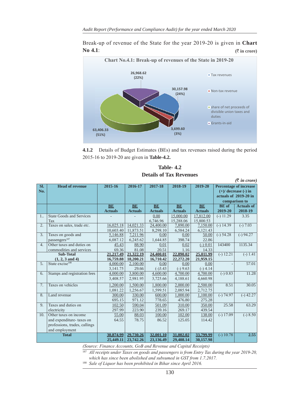Break-up of revenue of the State for the year 2019-20 is given in **Chart No 4.1**: **(**` **in crore)**



**4.1.2** Details of Budget Estimates (BEs) and tax revenues raised during the period 2015-16 to 2019-20 are given in **Table-4.2.**

| <b>Table-4.2</b>               |
|--------------------------------|
| <b>Details of Tax Revenues</b> |

|                  | $(\bar{\tau}$ in crore)         |                |                |                |                |                |              |                               |
|------------------|---------------------------------|----------------|----------------|----------------|----------------|----------------|--------------|-------------------------------|
| SI.              | <b>Head of revenue</b>          | 2015-16        | 2016-17        | 2017-18        | 2018-19        | 2019-20        |              | <b>Percentage of increase</b> |
| No.              |                                 |                |                |                |                |                |              | $(+)/$ decrease $(-)$ in      |
|                  |                                 |                |                |                |                |                |              | actuals of 2019-20 in         |
|                  |                                 |                |                |                |                |                |              | comparison to                 |
|                  |                                 | BE             | BE             | BE             | BE             | BE             | <b>BE</b> of | <b>Actuals of</b>             |
|                  |                                 | <b>Actuals</b> | <b>Actuals</b> | <b>Actuals</b> | <b>Actuals</b> | <b>Actuals</b> | 2019-20      | 2018-19                       |
| 1 <sub>1</sub>   | <b>State Goods and Services</b> |                |                | 0.00           | 15,000.00      | 17,812.00      | $(-) 11.29$  | 3.35                          |
|                  | Tax                             |                |                | 6,746.96       | 15,288.06      | 15,800.53      |              |                               |
| 2.               | Taxes on sales, trade etc.      | 16,025.18      | 14,021.33      | 24,400.00      | 7,890.00       | 7,150.00       | $(-) 14.39$  | $\sqrt{-1.03}$                |
|                  |                                 | 10,603.40      | 11,873.51      | 8,298.10       | 6,584.24       | 6,121.43       |              |                               |
| 3.               | Taxes on goods and              | 5,146.88       | 7,211.96       | 0.00           | 0.00           | 50.00          | $(-) 54.28$  | $(-) 94.27$                   |
|                  | passengers <sup>187</sup>       | 6,087.12       | 6,245.62       | 1,644.85       | 398.74         | 22.86          |              |                               |
| 4.               | Other taxes and duties on       | 45.43          | 88.90          | 0.01           | 0.02           | $(-) 0.01$     | 143400       | 1135.34                       |
|                  | commodities and services        | 69.36          | 81.08          | 20.51          | 1.16           | 14.33          |              |                               |
| <b>Sub-Total</b> |                                 | 21,217.49      | 21,322.19      | 24,400.01      | 22,890.02      | 25,011.99      | $(-) 12.21$  | $(-) 1.41$                    |
|                  | $(1, 2, 3 \text{ and } 4)$      | 16,759.88      | 18,200.21      | 16,710.42      | 22,272.20      | 21,959.15      |              |                               |
| 5.               | State excise <sup>188</sup>     | 4,000.00       | 2,100.00       | 0.00           | 0.00           | 0.00           |              | 57.01                         |
|                  |                                 | 3,141.75       | 29.66          | $(-)3.43$      | $(-) 9.63$     | $(-)$ 4.14     |              |                               |
| 6.               | Stamps and registration fees    | 4,000.00       | 3,800.00       | 4,600.00       | 4,700.00       | 4,700.00       | $(-) 0.83$   | 11.28                         |
|                  |                                 | 3,408.57       | 2,981.95       | 3,725.66       | 4,188.61       | 4,660.98       |              |                               |
| 7.               | Taxes on vehicles               | 1,200.00       | 1,500.00       | 1,800.00       | 2,000.00       | 2,500.00       | 8.51         | 30.05                         |
|                  |                                 | 1,081.22       | 1,256.67       | 1,599.51       | 2,085.94       | 2,712.75       |              |                               |
| 8.               | Land revenue                    | 300.00         | 330.00         | 600.00         | 1,000.00       | 1,100.00       | $(-) 74.97$  | $(-)$ 42.27                   |
|                  |                                 | 695.15         | 971.12         | 778.65         | 476.80         | 275.28         |              |                               |
| 9.               | Taxes and duties on             | 102.50         | 590.04         | 501.09         | 310.00         | 350.00         | 25.58        | 63.29                         |
|                  | electricity                     | 297.99         | 223.90         | 239.16         | 269.17         | 439.54         |              |                               |
| 10.              | Other taxes on income           | 55.00          | 88.03          | 100.00         | 102.00         | 138.00         | $(-) 17.09$  | $(-) 8.50$                    |
|                  | and expenditure-taxes on        | 64.55          | 78.75          | 86.52          | 125.05         | 114.42         |              |                               |
|                  | professions, trades, callings   |                |                |                |                |                |              |                               |
|                  | and employment                  |                |                |                |                |                |              |                               |
|                  | <b>Total</b>                    | 30,874.99      | 29,730.26      | 32,001.10      | 31,002.02      | 33,799.99      | $(-) 10.78$  | 2.55                          |
|                  |                                 | 25,449.11      | 23,742.26      | 23,136.49      | 29,408.14      | 30,157.98      |              |                               |

*(Source: Finance Accounts, GoB and Revenue and Capital Receipts)*

<sup>187</sup> All receipts under Taxes on goods and passengers is from Entry Tax during the year 2019-20, *which has since been abolished and subsumed in GST from 1.7.2017.*

<sup>188</sup> *Sale of Liquor has been prohibited in Bihar since April 2016.*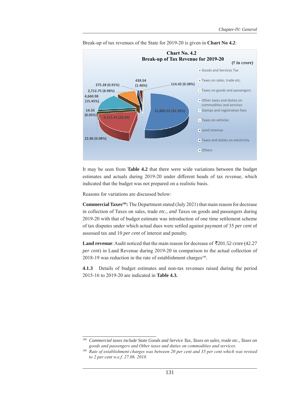

Break-up of tax revenues of the State for 2019-20 is given in **Chart No 4.2**:

It may be seen from **Table 4.2** that there were wide variations between the budget estimates and actuals during 2019-20 under different heads of tax revenue, which indicated that the budget was not prepared on a realistic basis.

Reasons for variations are discussed below:

**Commercial Taxes189:** The Department stated (July 2021) that main reason for decrease in collection of Taxes on sales, trade *etc., and* Taxes on goods and passengers during 2019-20 with that of budget estimate was introduction of one time settlement scheme of tax disputes under which actual dues were settled against payment of 35 *per cent* of assessed tax and 10 *per cent* of interest and penalty.

**Land revenue**: Audit noticed that the main reason for decrease of  $\overline{5}201.52$  crore (42.27) *per cent*) in Land Revenue during 2019-20 in comparison to the actual collection of 2018-19 was reduction in the rate of establishment charges<sup>190</sup>.

**4.1.3** Details of budget estimates and non-tax revenues raised during the period 2015-16 to 2019-20 are indicated in **Table 4.3.**

<sup>189</sup> *Commercial taxes include State Goods and Service Tax, Taxes on sales, trade etc., Taxes on goods and passengers and Other taxes and duties on commodities and services.*

<sup>&</sup>lt;sup>190</sup> Rate of establishment charges was between 20 per cent and 35 per cent which was revised *to 2 per cent w.e.f. 27.06. 2018.*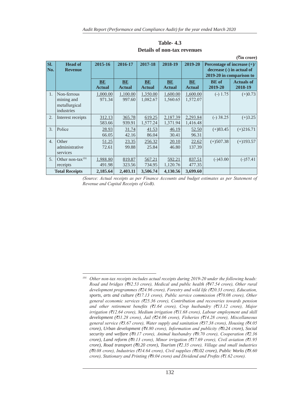| Sl.<br>No.            | <b>Head of</b><br><b>Revenue</b>                         | 2015-16               | 2016-17             | 2017-18              | 2018-19              | 2019-20              | Percentage of increase $(+)/$<br>decrease (-) in actual of<br>2019-20 in comparison to |                              |
|-----------------------|----------------------------------------------------------|-----------------------|---------------------|----------------------|----------------------|----------------------|----------------------------------------------------------------------------------------|------------------------------|
|                       |                                                          | BE<br><b>Actual</b>   | BE<br><b>Actual</b> | BE<br><b>Actual</b>  | BE<br><b>Actual</b>  | BE<br><b>Actual</b>  | <b>BE</b> of<br>2019-20                                                                | <b>Actuals of</b><br>2018-19 |
| 1.                    | Non-ferrous<br>mining and<br>metallurgical<br>industries | 1,000.00<br>971.34    | 1,100.00<br>997.60  | 1,350.00<br>1,082.67 | 1,600.00<br>1,560.65 | 1,600.00<br>1,572.07 | $(-) 1.75$                                                                             | $(+)0.73$                    |
| 2.                    | Interest receipts                                        | 312.13<br>583.66      | 365.78<br>939.91    | 619.25<br>1,577.24   | 2,187.39<br>1,371.94 | 2,293.84<br>1,416.48 | $(-)$ 38.25                                                                            | $(+)3.25$                    |
| 3.                    | Police                                                   | <u>28.93</u><br>66.05 | 31.74<br>42.16      | 41.53<br>86.04       | 46.19<br>30.41       | 52.50<br>96.31       | $(+)83.45$                                                                             | $(+)216.71$                  |
| $\overline{4}$ .      | Other<br>administrative<br>services                      | 51.25<br>72.61        | 23.35<br>99.88      | 256.32<br>25.84      | 20.10<br>46.80       | 22.62<br>137.39      | $(+)507.38$                                                                            | $(+)193.57$                  |
| 5.                    | Other non-tax <sup>191</sup><br>receipts                 | 1,988.80<br>491.98    | 819.87<br>323.56    | 567.21<br>734.95     | 592.21<br>1,120.76   | 837.51<br>477.35     | $(-)43.00$                                                                             | $(-)57.41$                   |
| <b>Total Receipts</b> |                                                          | 2,185.64              | 2,403.11            | 3,506.74             | 4,130.56             | 3,699.60             |                                                                                        |                              |

**Table- 4.3 Details of non-tax revenues**

**(**`**in crore)**

*(Source: Actual receipts as per Finance Accounts and budget estimates as per Statement of Revenue and Capital Receipts of GoB).*

*<sup>191</sup> Other non-tax receipts includes actual receipts during 2019-20 under the following heads: Road and bridges (*`*82.53 crore), Medical and public health (*`*47.54 crore), Other rural development programmes (*`*24.96 crore), Forestry and wild life (*`*20.33 crore), Education, sports, arts and culture (*`*17.13 crore), Public service commission (*`*70.08 crore), Other general economic services (*`*25.36 crore), Contribution and recoveries towards pension and other retirement benefits (*`*1.64 crore), Crop husbandry (*`*13.12 crore), Major irrigation (*`*12.64 crore), Medium irrigation (*`*11.68 crore), Labour employment and skill development (*`*11.28 crore), Jail (*`*24.06 crore), Fisheries (*`*14.28 crore), Miscellaneous general service (*`*3.67 crore), Water supply and sanitation (*`*37.38 crore), Housing (*`*4.05 crore), Urban development (*`*4.80 crore), Information and publicity (*`*0.24 crore), Social security and welfare (*`*0.17 crore), Animal husbandry (*`*0.70 crore), Cooperation (*`*2.36 crore), Land reform (*`*0.13 crore), Minor irrigation (*`*17.69 crore), Civil aviation (*`*1.95 crore), Road transport (*`*0.20 crore), Tourism (*`*2.35 crore), Village and small industries (*`*0.08 crore), Industries (*`*14.64 crore), Civil supplies (*`*0.02 crore), Public Works (*`*8.60 crore), Stationary and Printing (*`*0.04 crore) and Dividend and Profits (*`*1.62 crore).*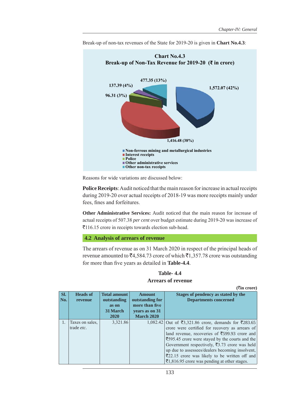

Break-up of non-tax revenues of the State for 2019-20 is given in **Chart No.4.3**:

Reasons for wide variations are discussed below:

**Police Receipts**: Audit noticed that the main reason for increase in actual receipts during 2019-20 over actual receipts of 2018-19 was more receipts mainly under fees, fines and forfeitures.

**Other Administrative Services:** Audit noticed that the main reason for increase of actual receipts of 507.38 *per cent* over budget estimate during 2019-20 was increase of `116.15 crore in receipts towards election sub-head.

## **4.2 Analysis of arrears of revenue**

The arrears of revenue as on 31 March 2020 in respect of the principal heads of revenue amounted to  $\bar{z}4,584.73$  crore of which  $\bar{z}1,357.78$  crore was outstanding for more than five years as detailed in **Table-4.4**.

**Table- 4.4 Arrears of revenue**

|     |                    |                     |                   | $($ <b>₹in crore</b> )                                        |
|-----|--------------------|---------------------|-------------------|---------------------------------------------------------------|
| Sl. | <b>Heads of</b>    | <b>Total amount</b> | <b>Amount</b>     | Stages of pendency as stated by the                           |
| No. | revenue            | outstanding         | outstanding for   | <b>Departments concerned</b>                                  |
|     |                    | as on               | more than five    |                                                               |
|     |                    | 31 March            | years as on 31    |                                                               |
|     |                    | 2020                | <b>March 2020</b> |                                                               |
|     | Taxes on sales,    | 3,321.86            |                   | 1,082.42 Out of ₹3,321.86 crore, demands for ₹283.65          |
|     | trade <i>etc</i> . |                     |                   | crore were certified for recovery as arrears of               |
|     |                    |                     |                   | land revenue, recoveries of $\overline{5}599.93$ crore and    |
|     |                    |                     |                   | ₹595.45 crore were stayed by the courts and the               |
|     |                    |                     |                   | Government respectively, $\overline{\xi}$ 3.73 crore was held |
|     |                    |                     |                   | up due to assessees/dealers becoming insolvent,               |
|     |                    |                     |                   | $\overline{\xi}$ 22.15 crore was likely to be written off and |
|     |                    |                     |                   | $\bar{\xi}$ 1,816.95 crore was pending at other stages.       |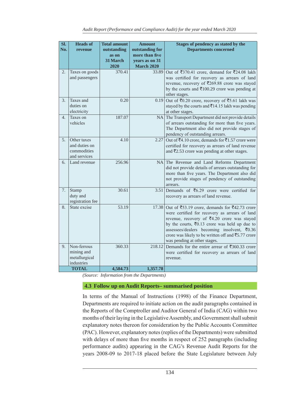| Sl.              | <b>Heads of</b>              | <b>Total amount</b>  | <b>Amount</b>                     | Stages of pendency as stated by the                                                                                  |
|------------------|------------------------------|----------------------|-----------------------------------|----------------------------------------------------------------------------------------------------------------------|
| No.              | revenue                      | outstanding<br>as on | outstanding for<br>more than five | <b>Departments concerned</b>                                                                                         |
|                  |                              | <b>31 March</b>      | years as on 31                    |                                                                                                                      |
|                  |                              | 2020                 | <b>March 2020</b>                 |                                                                                                                      |
| 2.               | Taxes on goods               | 370.41               | 33.89                             | Out of ₹370.41 crore, demand for ₹24.08 lakh                                                                         |
|                  | and passengers               |                      |                                   | was certified for recovery as arrears of land<br>revenue, recovery of ₹269.88 crore was stayed                       |
|                  |                              |                      |                                   | by the courts and $\bar{\xi}$ 100.29 crore was pending at                                                            |
|                  |                              |                      |                                   | other stages.                                                                                                        |
| 3.               | Taxes and                    | 0.20                 | 0.19                              | Out of ₹0.20 crore, recovery of ₹5.61 lakh was                                                                       |
|                  | duties on<br>electricity     |                      |                                   | stayed by the courts and ₹14.15 lakh was pending<br>at other stages.                                                 |
| $\overline{4}$ . | Taxes on                     | 187.07               |                                   | NA The Transport Department did not provide details                                                                  |
|                  | vehicles                     |                      |                                   | of arrears outstanding for more than five years.                                                                     |
|                  |                              |                      |                                   | The Department also did not provide stages of                                                                        |
|                  |                              |                      |                                   | pendency of outstanding arrears.                                                                                     |
| 5.               | Other taxes<br>and duties on | 4.10                 | 2.27                              | Out of ₹4.10 crore, demands for ₹1.57 crore were                                                                     |
|                  | commodities                  |                      |                                   | certified for recovery as arrears of land revenue<br>and $\bar{\mathfrak{r}}2.53$ crore was pending at other stages. |
|                  | and services                 |                      |                                   |                                                                                                                      |
| 6.               | Land revenue                 | 256.96               |                                   | NA The Revenue and Land Reforms Department                                                                           |
|                  |                              |                      |                                   | did not provide details of arrears outstanding for<br>more than five years. The Department also did                  |
|                  |                              |                      |                                   | not provide stages of pendency of outstanding                                                                        |
|                  |                              |                      |                                   | arrears.                                                                                                             |
| 7.               | Stamp                        | 30.61                | 3.51                              | Demands of $\bar{z}$ 6.29 crore were certified for                                                                   |
|                  | duty and<br>registration fee |                      |                                   | recovery as arrears of land revenue.                                                                                 |
| 8.               | State excise                 | 53.19                | 17.38                             | Out of $\overline{5}3.19$ crore, demands for $\overline{5}42.73$ crore                                               |
|                  |                              |                      |                                   | were certified for recovery as arrears of land                                                                       |
|                  |                              |                      |                                   | revenue, recovery of ₹4.20 crore was stayed                                                                          |
|                  |                              |                      |                                   | by the courts, $\bar{\xi}$ 0.13 crore was held up due to                                                             |
|                  |                              |                      |                                   | assessees/dealers becoming insolvent, ₹0.36<br>crore was likely to be written off and ₹5.77 crore                    |
|                  |                              |                      |                                   | was pending at other stages.                                                                                         |
| 9.               | Non-ferrous                  | 360.33               | 218.12                            | Demands for the entire arrear of $\overline{\xi}$ 360.33 crore                                                       |
|                  | mining and                   |                      |                                   | were certified for recovery as arrears of land                                                                       |
|                  | metallurgical<br>industries  |                      |                                   | revenue.                                                                                                             |
|                  | <b>TOTAL</b>                 | 4,584.73             | 1,357.78                          |                                                                                                                      |

*(Source: Information from the Departments)*

## **4.3 Follow up on Audit Reports– summarised position**

In terms of the Manual of Instructions (1998) of the Finance Department, Departments are required to initiate action on the audit paragraphs contained in the Reports of the Comptroller and Auditor General of India (CAG) within two months of their laying in the Legislative Assembly, and Government shall submit explanatory notes thereon for consideration by the Public Accounts Committee (PAC). However, explanatory notes (replies of the Departments) were submitted with delays of more than five months in respect of 252 paragraphs (including performance audits) appearing in the CAG's Revenue Audit Reports for the years 2008-09 to 2017-18 placed before the State Legislature between July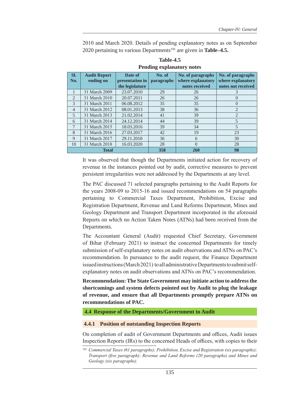2010 and March 2020. Details of pending explanatory notes as on September 2020 pertaining to various Departments192 are given in **Table–4.5.**

| SI.            | <b>Audit Report</b> | Date of         | No. of     | No. of paragraphs | No. of paragraphs  |
|----------------|---------------------|-----------------|------------|-------------------|--------------------|
| No.            | ending on           | presentation in | paragraphs | where explanatory | where explanatory  |
|                |                     | the legislature |            | notes received    | notes not received |
| 1              | 31 March 2009       | 23.07.2010      | 29         | 26                | 3                  |
| 2              | 31 March 2010       | 20.07.2011      | 26         | 26                |                    |
| 3              | 31 March 2011       | 06.08.2012      | 35         | 35                | $\theta$           |
| $\overline{4}$ | 31 March 2012       | 08.01.2013      | 38         | 36                | 2                  |
| 5              | 31 March 2013       | 21.02.2014      | 41         | 39                | $\overline{2}$     |
| 6              | 31 March 2014       | 24.12.2014      | 44         | 39                | 5                  |
| 7              | 31 March 2015       | 18.03.2016      | 39         | 34                | 5                  |
| 8              | 31 March 2016       | 27.03.2017      | 42         | 19                | 23                 |
| 9              | 31 March 2017       | 29.11.2018      | 36         | 6                 | 30                 |
| 10             | 31 March 2018       | 16.03.2020      | 28         | $\Omega$          | 28                 |
|                | <b>Total</b>        |                 | 358        | <b>260</b>        | 98                 |

# **Table-4.5 Pending explanatory notes**

It was observed that though the Departments initiated action for recovery of revenue in the instances pointed out by audit, corrective measures to prevent persistent irregularities were not addressed by the Departments at any level.

The PAC discussed 71 selected paragraphs pertaining to the Audit Reports for the years 2008-09 to 2015-16 and issued recommendations on 54 paragraphs pertaining to Commercial Taxes Department, Prohibition, Excise and Registration Department, Revenue and Land Reforms Department, Mines and Geology Department and Transport Department incorporated in the aforesaid Reports on which no Action Taken Notes (ATNs) had been received from the Departments.

The Accountant General (Audit) requested Chief Secretary, Government of Bihar (February 2021) to instruct the concerned Departments for timely submission of self-explanatory notes on audit observations and ATNs on PAC's recommendation. In pursuance to the audit request, the Finance Department issued instructions (March 2021) to all administrative Departments to submit selfexplanatory notes on audit observations and ATNs on PAC's recommendation.

**Recommendation: The State Government may initiate action to address the shortcomings and system defects pointed out by Audit to plug the leakage of revenue, and ensure that all Departments promptly prepare ATNs on recommendations of PAC.**

**4.4 Response of the Departments/Government to Audit**

#### **4.4.1 Position of outstanding Inspection Reports**

On completion of audit of Government Departments and offices, Audit issues Inspection Reports (IRs) to the concerned Heads of offices, with copies to their

<sup>&</sup>lt;sup>192</sup> Commercial Taxes (61 paragraphs); Prohibition, Excise and Registration (six paragraphs); *Transport (five paragraph); Revenue and Land Reforms (20 paragraphs) and Mines and Geology (six paragraphs).*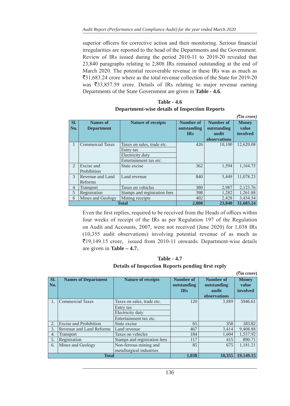superior officers for corrective action and their monitoring. Serious financial irregularities are reported to the head of the Departments and the Government. Review of IRs issued during the period 2010-11 to 2019-20 revealed that 23,840 paragraphs relating to 2,808 IRs remained outstanding at the end of March 2020. The potential recoverable revenue in these IRs was as much as  $\overline{3}31,683.24$  crore where as the total revenue collection of the State for 2019-20 was  $\overline{533,857.59}$  crore. Details of IRs relating to major revenue earning Departments of the State Government are given in **Table - 4.6**.

# **Table - 4.6**

# **Department-wise details of Inspection Reports**

*(*`*in crore)*

|                | $\mathcal{L}$ $\mathcal{L}$ $\mathcal{L}$ $\mathcal{L}$ $\mathcal{L}$ $\mathcal{L}$ |                              |                  |                  |              |  |  |  |
|----------------|-------------------------------------------------------------------------------------|------------------------------|------------------|------------------|--------------|--|--|--|
| Sl.            | Names of                                                                            | <b>Nature of receipts</b>    | <b>Number of</b> | <b>Number of</b> | <b>Money</b> |  |  |  |
| No.            | <b>Department</b>                                                                   |                              | outstanding      | outstanding      | value        |  |  |  |
|                |                                                                                     |                              | <b>IRs</b>       | audit            | involved     |  |  |  |
|                |                                                                                     |                              |                  |                  |              |  |  |  |
|                |                                                                                     |                              |                  | observations     |              |  |  |  |
| 1              | <b>Commercial Taxes</b>                                                             | Taxes on sales, trade etc.   | 426              | 10,100           | 12,620.08    |  |  |  |
|                |                                                                                     | Entry tax                    |                  |                  |              |  |  |  |
|                |                                                                                     | Electricity duty             |                  |                  |              |  |  |  |
|                |                                                                                     | Entertainment tax etc.       |                  |                  |              |  |  |  |
| $\mathfrak{D}$ | Excise and                                                                          | State excise                 | 362              | 1,594            | 1,164.75     |  |  |  |
|                | Prohibition                                                                         |                              |                  |                  |              |  |  |  |
| $\mathcal{E}$  | Revenue and Land                                                                    | Land revenue                 | 840              | 5,449            | 11,078.23    |  |  |  |
|                | <b>Reforms</b>                                                                      |                              |                  |                  |              |  |  |  |
| 4              | <b>Transport</b>                                                                    | Taxes on vehicles            | 380              | 2,987            | 2,123.76     |  |  |  |
| 5              | Registration                                                                        | Stamps and registration fees | 398              | 1,282            | 1,261.88     |  |  |  |
| 6              | Mines and Geology                                                                   | Mining receipts              | 402              | 2,428            | 3,434.54     |  |  |  |
|                |                                                                                     | <b>Total</b>                 | 2,808            | 23,840           | 31,683.24    |  |  |  |

Even the first replies, required to be received from the Heads of offices within four weeks of receipt of the IRs as per Regulation 197 of the Regulation on Audit and Accounts, 2007, were not received (June 2020) for 1,038 IRs (10,355 audit observations) involving potential revenue of as much as `19,149.15 crore, issued from 2010-11 onwards. Department-wise details are given in **Table – 4.7.**

**Table - 4.7 Details of Inspection Reports pending first reply**

|     |                               |                              |                  |              | $($ <b>₹in crore</b> $)$ |
|-----|-------------------------------|------------------------------|------------------|--------------|--------------------------|
| Sl. | <b>Names of Department</b>    | <b>Nature of receipts</b>    | <b>Number of</b> | Number of    | <b>Money</b>             |
| No. |                               |                              | outstanding      | outstanding  | value                    |
|     |                               |                              | <b>IRs</b>       | audit        | involved                 |
|     |                               |                              |                  | observations |                          |
|     | <b>Commercial Taxes</b>       | Taxes on sales, trade etc.   | 120              | 3,889        | 5946.61                  |
|     |                               | Entry tax                    |                  |              |                          |
|     |                               | Electricity duty             |                  |              |                          |
|     |                               | Entertainment tax etc.       |                  |              |                          |
| 2.  | <b>Excise and Prohibition</b> | State excise                 | 65               | 358          | 183.82                   |
| 3.  | Revenue and Land Reforms      | Land revenue                 | 467              | 3,414        | 9,408.88                 |
| 4.  | <b>Transport</b>              | Taxes on vehicles            | 184              | 1,604        | 1,537.92                 |
| 5.  | Registration                  | Stamps and registration fees | 117              | 415          | 890.71                   |
| 6.  | Mines and Geology             | Non-ferrous mining and       | 85               | 675          | 1,181.21                 |
|     |                               | metallurgical industries     |                  |              |                          |
|     | <b>Total</b>                  |                              | 1,038            | 10,355       | 19,149.15                |